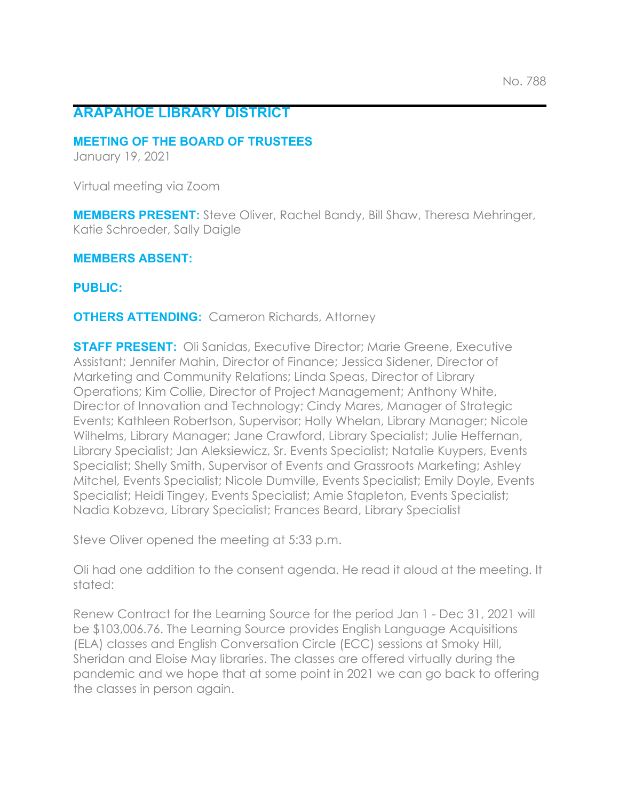# **ARAPAHOE LIBRARY DISTRICT**

#### **MEETING OF THE BOARD OF TRUSTEES**

January 19, 2021

Virtual meeting via Zoom

**MEMBERS PRESENT:** Steve Oliver, Rachel Bandy, Bill Shaw, Theresa Mehringer, Katie Schroeder, Sally Daigle

**MEMBERS ABSENT:**

**PUBLIC:**

**OTHERS ATTENDING:** Cameron Richards, Attorney

**STAFF PRESENT:** Oli Sanidas, Executive Director; Marie Greene, Executive Assistant; Jennifer Mahin, Director of Finance; Jessica Sidener, Director of Marketing and Community Relations; Linda Speas, Director of Library Operations; Kim Collie, Director of Project Management; Anthony White, Director of Innovation and Technology; Cindy Mares, Manager of Strategic Events; Kathleen Robertson, Supervisor; Holly Whelan, Library Manager; Nicole Wilhelms, Library Manager; Jane Crawford, Library Specialist; Julie Heffernan, Library Specialist; Jan Aleksiewicz, Sr. Events Specialist; Natalie Kuypers, Events Specialist; Shelly Smith, Supervisor of Events and Grassroots Marketing; Ashley Mitchel, Events Specialist; Nicole Dumville, Events Specialist; Emily Doyle, Events Specialist; Heidi Tingey, Events Specialist; Amie Stapleton, Events Specialist; Nadia Kobzeva, Library Specialist; Frances Beard, Library Specialist

Steve Oliver opened the meeting at 5:33 p.m.

Oli had one addition to the consent agenda. He read it aloud at the meeting. It stated:

Renew Contract for the Learning Source for the period Jan 1 - Dec 31, 2021 will be \$103,006.76. The Learning Source provides English Language Acquisitions (ELA) classes and English Conversation Circle (ECC) sessions at Smoky Hill, Sheridan and Eloise May libraries. The classes are offered virtually during the pandemic and we hope that at some point in 2021 we can go back to offering the classes in person again.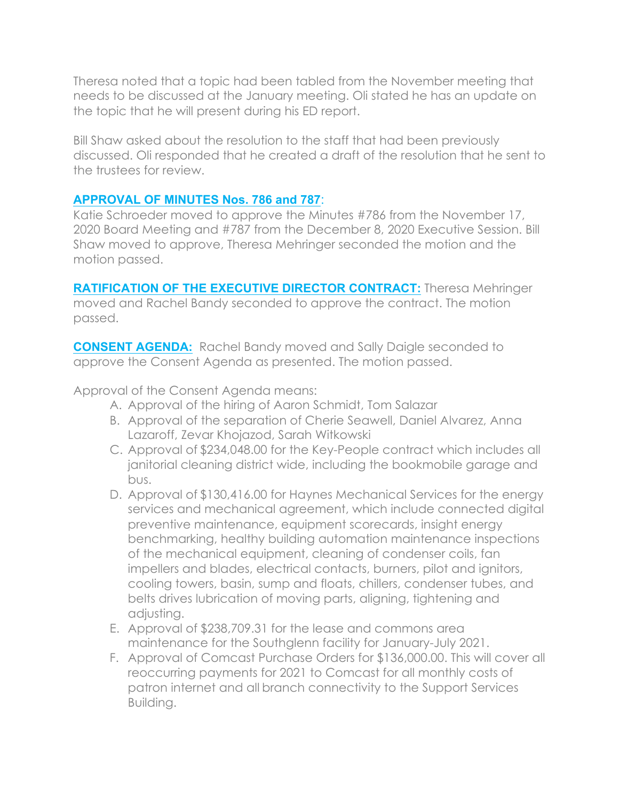Theresa noted that a topic had been tabled from the November meeting that needs to be discussed at the January meeting. Oli stated he has an update on the topic that he will present during his ED report.

Bill Shaw asked about the resolution to the staff that had been previously discussed. Oli responded that he created a draft of the resolution that he sent to the trustees for review.

## **APPROVAL OF MINUTES Nos. 786 and 787**:

Katie Schroeder moved to approve the Minutes #786 from the November 17, 2020 Board Meeting and #787 from the December 8, 2020 Executive Session. Bill Shaw moved to approve, Theresa Mehringer seconded the motion and the motion passed.

**RATIFICATION OF THE EXECUTIVE DIRECTOR CONTRACT:** Theresa Mehringer moved and Rachel Bandy seconded to approve the contract. The motion passed.

**CONSENT AGENDA:** Rachel Bandy moved and Sally Daigle seconded to approve the Consent Agenda as presented. The motion passed.

Approval of the Consent Agenda means:

- A. Approval of the hiring of Aaron Schmidt, Tom Salazar
- B. Approval of the separation of Cherie Seawell, Daniel Alvarez, Anna Lazaroff, Zevar Khojazod, Sarah Witkowski
- C. Approval of \$234,048.00 for the Key-People contract which includes all janitorial cleaning district wide, including the bookmobile garage and bus.
- D. Approval of \$130,416.00 for Haynes Mechanical Services for the energy services and mechanical agreement, which include connected digital preventive maintenance, equipment scorecards, insight energy benchmarking, healthy building automation maintenance inspections of the mechanical equipment, cleaning of condenser coils, fan impellers and blades, electrical contacts, burners, pilot and ignitors, cooling towers, basin, sump and floats, chillers, condenser tubes, and belts drives lubrication of moving parts, aligning, tightening and adjusting.
- E. Approval of \$238,709.31 for the lease and commons area maintenance for the Southglenn facility for January-July 2021.
- F. Approval of Comcast Purchase Orders for \$136,000.00. This will cover all reoccurring payments for 2021 to Comcast for all monthly costs of patron internet and all branch connectivity to the Support Services Building.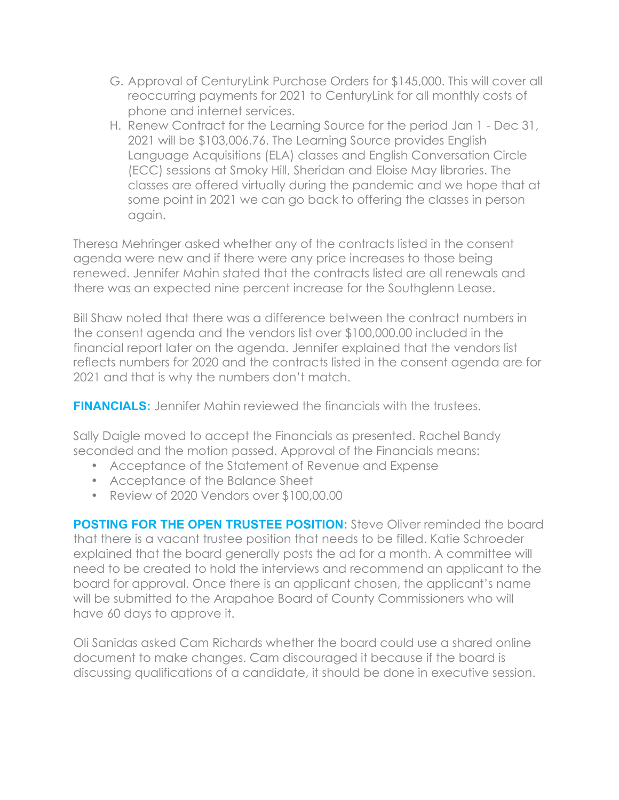- G. Approval of CenturyLink Purchase Orders for \$145,000. This will cover all reoccurring payments for 2021 to CenturyLink for all monthly costs of phone and internet services.
- H. Renew Contract for the Learning Source for the period Jan 1 Dec 31, 2021 will be \$103,006.76. The Learning Source provides English Language Acquisitions (ELA) classes and English Conversation Circle (ECC) sessions at Smoky Hill, Sheridan and Eloise May libraries. The classes are offered virtually during the pandemic and we hope that at some point in 2021 we can go back to offering the classes in person again.

Theresa Mehringer asked whether any of the contracts listed in the consent agenda were new and if there were any price increases to those being renewed. Jennifer Mahin stated that the contracts listed are all renewals and there was an expected nine percent increase for the Southglenn Lease.

Bill Shaw noted that there was a difference between the contract numbers in the consent agenda and the vendors list over \$100,000.00 included in the financial report later on the agenda. Jennifer explained that the vendors list reflects numbers for 2020 and the contracts listed in the consent agenda are for 2021 and that is why the numbers don't match.

**FINANCIALS:** Jennifer Mahin reviewed the financials with the trustees.

Sally Daigle moved to accept the Financials as presented. Rachel Bandy seconded and the motion passed. Approval of the Financials means:

- Acceptance of the Statement of Revenue and Expense
- Acceptance of the Balance Sheet
- Review of 2020 Vendors over \$100,00.00

**POSTING FOR THE OPEN TRUSTEE POSITION:** Steve Oliver reminded the board that there is a vacant trustee position that needs to be filled. Katie Schroeder explained that the board generally posts the ad for a month. A committee will need to be created to hold the interviews and recommend an applicant to the board for approval. Once there is an applicant chosen, the applicant's name will be submitted to the Arapahoe Board of County Commissioners who will have 60 days to approve it.

Oli Sanidas asked Cam Richards whether the board could use a shared online document to make changes. Cam discouraged it because if the board is discussing qualifications of a candidate, it should be done in executive session.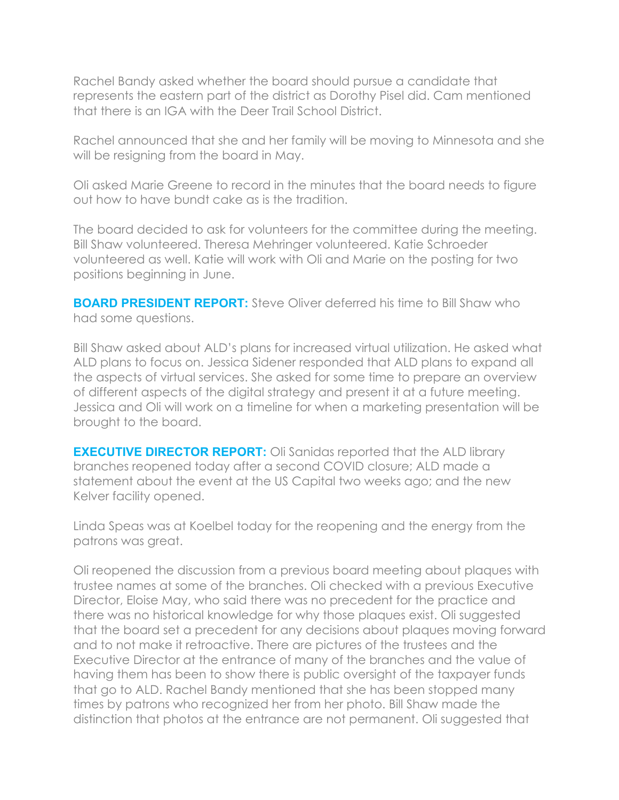Rachel Bandy asked whether the board should pursue a candidate that represents the eastern part of the district as Dorothy Pisel did. Cam mentioned that there is an IGA with the Deer Trail School District.

Rachel announced that she and her family will be moving to Minnesota and she will be resigning from the board in May.

Oli asked Marie Greene to record in the minutes that the board needs to figure out how to have bundt cake as is the tradition.

The board decided to ask for volunteers for the committee during the meeting. Bill Shaw volunteered. Theresa Mehringer volunteered. Katie Schroeder volunteered as well. Katie will work with Oli and Marie on the posting for two positions beginning in June.

**BOARD PRESIDENT REPORT:** Steve Oliver deferred his time to Bill Shaw who had some questions.

Bill Shaw asked about ALD's plans for increased virtual utilization. He asked what ALD plans to focus on. Jessica Sidener responded that ALD plans to expand all the aspects of virtual services. She asked for some time to prepare an overview of different aspects of the digital strategy and present it at a future meeting. Jessica and Oli will work on a timeline for when a marketing presentation will be brought to the board.

**EXECUTIVE DIRECTOR REPORT:** Oli Sanidas reported that the ALD library branches reopened today after a second COVID closure; ALD made a statement about the event at the US Capital two weeks ago; and the new Kelver facility opened.

Linda Speas was at Koelbel today for the reopening and the energy from the patrons was great.

Oli reopened the discussion from a previous board meeting about plaques with trustee names at some of the branches. Oli checked with a previous Executive Director, Eloise May, who said there was no precedent for the practice and there was no historical knowledge for why those plaques exist. Oli suggested that the board set a precedent for any decisions about plaques moving forward and to not make it retroactive. There are pictures of the trustees and the Executive Director at the entrance of many of the branches and the value of having them has been to show there is public oversight of the taxpayer funds that go to ALD. Rachel Bandy mentioned that she has been stopped many times by patrons who recognized her from her photo. Bill Shaw made the distinction that photos at the entrance are not permanent. Oli suggested that